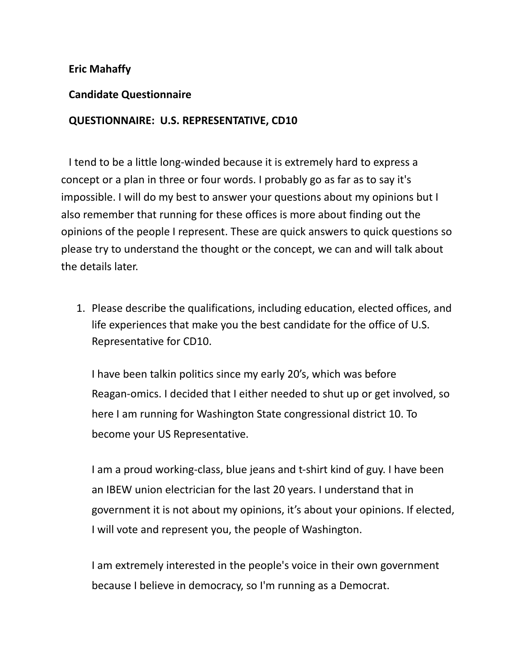## **Eric Mahaffy**

## **Candidate Questionnaire**

## **QUESTIONNAIRE: U.S. REPRESENTATIVE, CD10**

I tend to be a little long-winded because it is extremely hard to express a concept or a plan in three or four words. I probably go as far as to say it's impossible. I will do my best to answer your questions about my opinions but I also remember that running for these offices is more about finding out the opinions of the people I represent. These are quick answers to quick questions so please try to understand the thought or the concept, we can and will talk about the details later.

1. Please describe the qualifications, including education, elected offices, and life experiences that make you the best candidate for the office of U.S. Representative for CD10.

I have been talkin politics since my early 20's, which was before Reagan-omics. I decided that I either needed to shut up or get involved, so here I am running for Washington State congressional district 10. To become your US Representative.

I am a proud working-class, blue jeans and t-shirt kind of guy. I have been an IBEW union electrician for the last 20 years. I understand that in government it is not about my opinions, it's about your opinions. If elected, I will vote and represent you, the people of Washington.

I am extremely interested in the people's voice in their own government because I believe in democracy, so I'm running as a Democrat.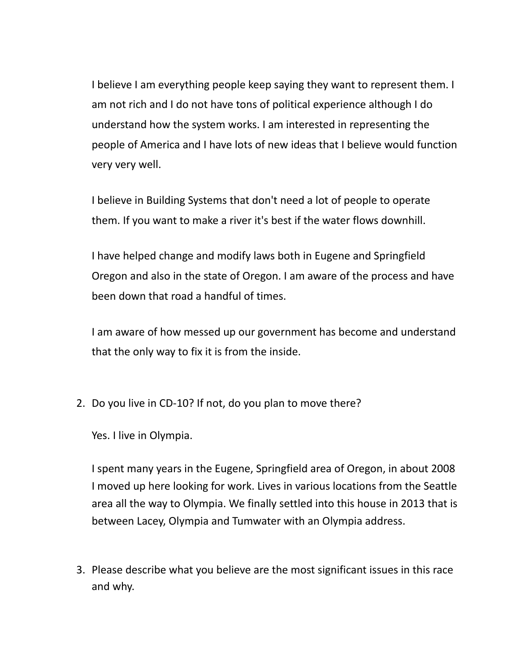I believe I am everything people keep saying they want to represent them. I am not rich and I do not have tons of political experience although I do understand how the system works. I am interested in representing the people of America and I have lots of new ideas that I believe would function very very well.

I believe in Building Systems that don't need a lot of people to operate them. If you want to make a river it's best if the water flows downhill.

I have helped change and modify laws both in Eugene and Springfield Oregon and also in the state of Oregon. I am aware of the process and have been down that road a handful of times.

I am aware of how messed up our government has become and understand that the only way to fix it is from the inside.

2. Do you live in CD-10? If not, do you plan to move there?

Yes. I live in Olympia.

I spent many years in the Eugene, Springfield area of Oregon, in about 2008 I moved up here looking for work. Lives in various locations from the Seattle area all the way to Olympia. We finally settled into this house in 2013 that is between Lacey, Olympia and Tumwater with an Olympia address.

3. Please describe what you believe are the most significant issues in this race and why.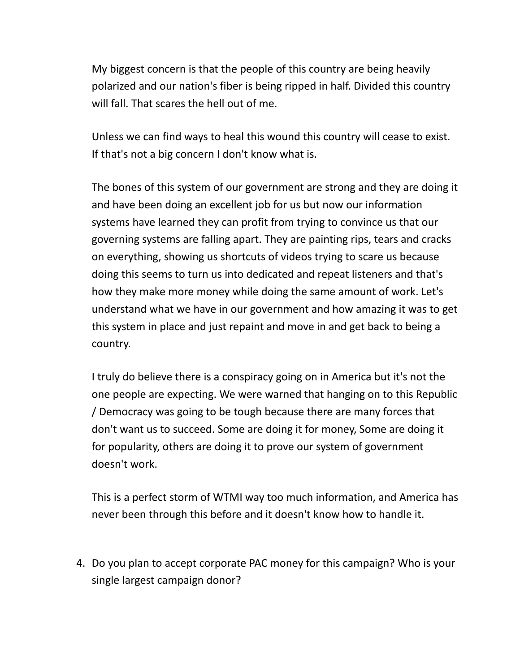My biggest concern is that the people of this country are being heavily polarized and our nation's fiber is being ripped in half. Divided this country will fall. That scares the hell out of me.

Unless we can find ways to heal this wound this country will cease to exist. If that's not a big concern I don't know what is.

The bones of this system of our government are strong and they are doing it and have been doing an excellent job for us but now our information systems have learned they can profit from trying to convince us that our governing systems are falling apart. They are painting rips, tears and cracks on everything, showing us shortcuts of videos trying to scare us because doing this seems to turn us into dedicated and repeat listeners and that's how they make more money while doing the same amount of work. Let's understand what we have in our government and how amazing it was to get this system in place and just repaint and move in and get back to being a country.

I truly do believe there is a conspiracy going on in America but it's not the one people are expecting. We were warned that hanging on to this Republic / Democracy was going to be tough because there are many forces that don't want us to succeed. Some are doing it for money, Some are doing it for popularity, others are doing it to prove our system of government doesn't work.

This is a perfect storm of WTMI way too much information, and America has never been through this before and it doesn't know how to handle it.

4. Do you plan to accept corporate PAC money for this campaign? Who is your single largest campaign donor?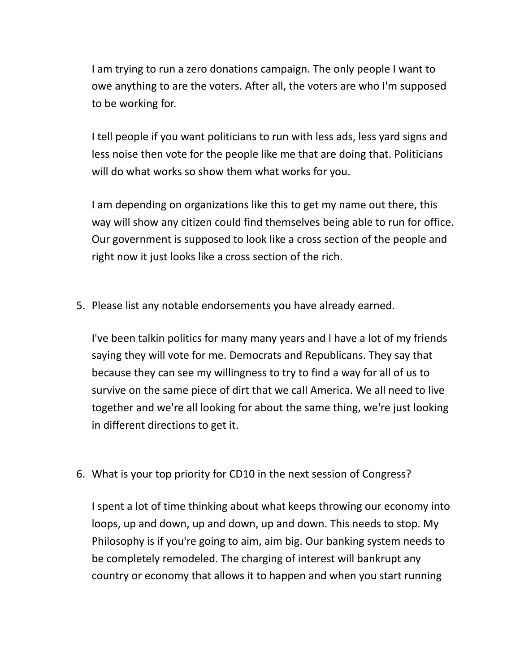I am trying to run a zero donations campaign. The only people I want to owe anything to are the voters. After all, the voters are who I'm supposed to be working for.

I tell people if you want politicians to run with less ads, less yard signs and less noise then vote for the people like me that are doing that. Politicians will do what works so show them what works for you.

I am depending on organizations like this to get my name out there, this way will show any citizen could find themselves being able to run for office. Our government is supposed to look like a cross section of the people and right now it just looks like a cross section of the rich.

5. Please list any notable endorsements you have already earned.

I've been talkin politics for many many years and I have a lot of my friends saying they will vote for me. Democrats and Republicans. They say that because they can see my willingness to try to find a way for all of us to survive on the same piece of dirt that we call America. We all need to live together and we're all looking for about the same thing, we're just looking in different directions to get it.

6. What is your top priority for CD10 in the next session of Congress?

I spent a lot of time thinking about what keeps throwing our economy into loops, up and down, up and down, up and down. This needs to stop. My Philosophy is if you're going to aim, aim big. Our banking system needs to be completely remodeled. The charging of interest will bankrupt any country or economy that allows it to happen and when you start running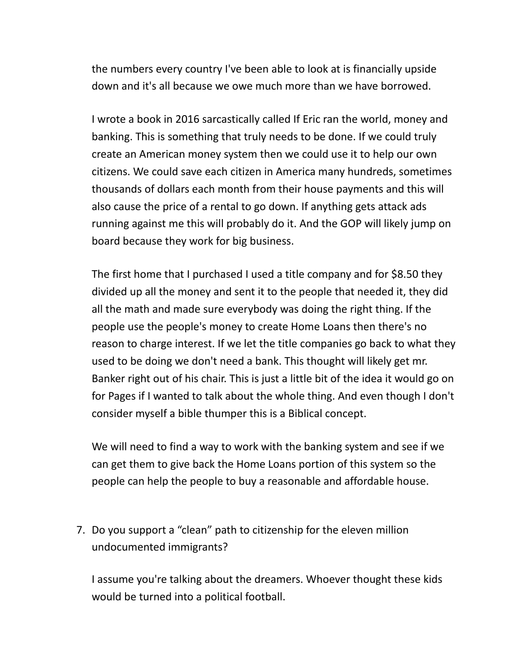the numbers every country I've been able to look at is financially upside down and it's all because we owe much more than we have borrowed.

I wrote a book in 2016 sarcastically called If Eric ran the world, money and banking. This is something that truly needs to be done. If we could truly create an American money system then we could use it to help our own citizens. We could save each citizen in America many hundreds, sometimes thousands of dollars each month from their house payments and this will also cause the price of a rental to go down. If anything gets attack ads running against me this will probably do it. And the GOP will likely jump on board because they work for big business.

The first home that I purchased I used a title company and for \$8.50 they divided up all the money and sent it to the people that needed it, they did all the math and made sure everybody was doing the right thing. If the people use the people's money to create Home Loans then there's no reason to charge interest. If we let the title companies go back to what they used to be doing we don't need a bank. This thought will likely get mr. Banker right out of his chair. This is just a little bit of the idea it would go on for Pages if I wanted to talk about the whole thing. And even though I don't consider myself a bible thumper this is a Biblical concept.

We will need to find a way to work with the banking system and see if we can get them to give back the Home Loans portion of this system so the people can help the people to buy a reasonable and affordable house.

7. Do you support a "clean" path to citizenship for the eleven million undocumented immigrants?

I assume you're talking about the dreamers. Whoever thought these kids would be turned into a political football.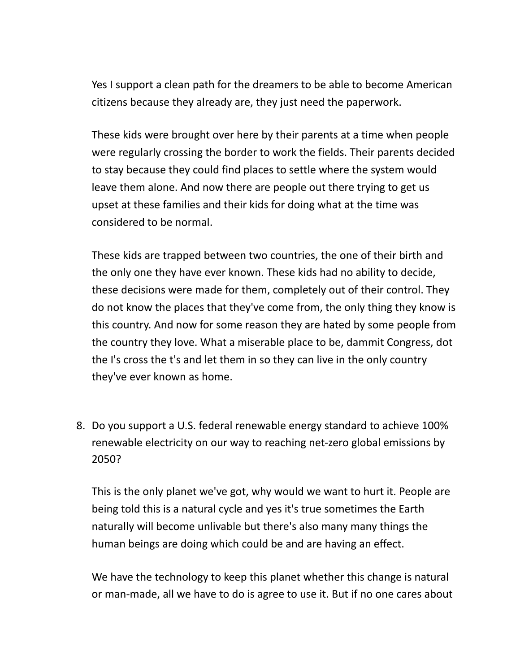Yes I support a clean path for the dreamers to be able to become American citizens because they already are, they just need the paperwork.

These kids were brought over here by their parents at a time when people were regularly crossing the border to work the fields. Their parents decided to stay because they could find places to settle where the system would leave them alone. And now there are people out there trying to get us upset at these families and their kids for doing what at the time was considered to be normal.

These kids are trapped between two countries, the one of their birth and the only one they have ever known. These kids had no ability to decide, these decisions were made for them, completely out of their control. They do not know the places that they've come from, the only thing they know is this country. And now for some reason they are hated by some people from the country they love. What a miserable place to be, dammit Congress, dot the I's cross the t's and let them in so they can live in the only country they've ever known as home.

8. Do you support a U.S. federal renewable energy standard to achieve 100% renewable electricity on our way to reaching net-zero global emissions by 2050?

This is the only planet we've got, why would we want to hurt it. People are being told this is a natural cycle and yes it's true sometimes the Earth naturally will become unlivable but there's also many many things the human beings are doing which could be and are having an effect.

We have the technology to keep this planet whether this change is natural or man-made, all we have to do is agree to use it. But if no one cares about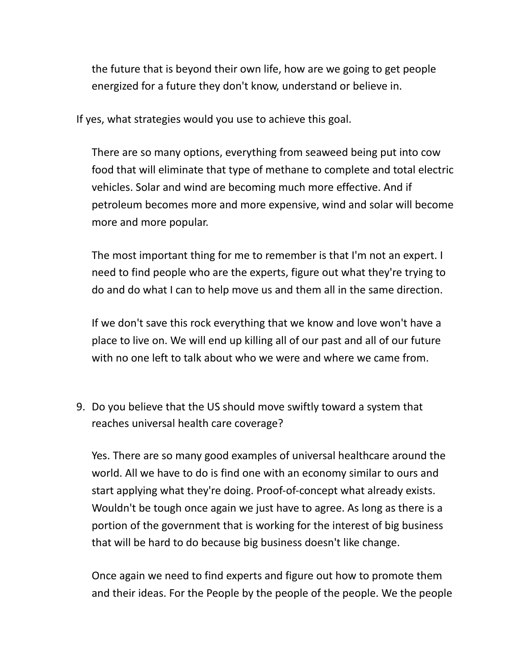the future that is beyond their own life, how are we going to get people energized for a future they don't know, understand or believe in.

If yes, what strategies would you use to achieve this goal.

There are so many options, everything from seaweed being put into cow food that will eliminate that type of methane to complete and total electric vehicles. Solar and wind are becoming much more effective. And if petroleum becomes more and more expensive, wind and solar will become more and more popular.

The most important thing for me to remember is that I'm not an expert. I need to find people who are the experts, figure out what they're trying to do and do what I can to help move us and them all in the same direction.

If we don't save this rock everything that we know and love won't have a place to live on. We will end up killing all of our past and all of our future with no one left to talk about who we were and where we came from.

9. Do you believe that the US should move swiftly toward a system that reaches universal health care coverage?

Yes. There are so many good examples of universal healthcare around the world. All we have to do is find one with an economy similar to ours and start applying what they're doing. Proof-of-concept what already exists. Wouldn't be tough once again we just have to agree. As long as there is a portion of the government that is working for the interest of big business that will be hard to do because big business doesn't like change.

Once again we need to find experts and figure out how to promote them and their ideas. For the People by the people of the people. We the people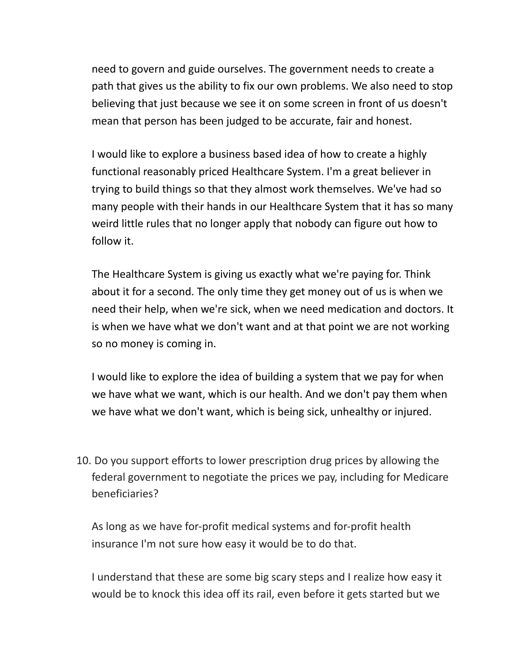need to govern and guide ourselves. The government needs to create a path that gives us the ability to fix our own problems. We also need to stop believing that just because we see it on some screen in front of us doesn't mean that person has been judged to be accurate, fair and honest.

I would like to explore a business based idea of how to create a highly functional reasonably priced Healthcare System. I'm a great believer in trying to build things so that they almost work themselves. We've had so many people with their hands in our Healthcare System that it has so many weird little rules that no longer apply that nobody can figure out how to follow it.

The Healthcare System is giving us exactly what we're paying for. Think about it for a second. The only time they get money out of us is when we need their help, when we're sick, when we need medication and doctors. It is when we have what we don't want and at that point we are not working so no money is coming in.

I would like to explore the idea of building a system that we pay for when we have what we want, which is our health. And we don't pay them when we have what we don't want, which is being sick, unhealthy or injured.

10. Do you support efforts to lower prescription drug prices by allowing the federal government to negotiate the prices we pay, including for Medicare beneficiaries?

As long as we have for-profit medical systems and for-profit health insurance I'm not sure how easy it would be to do that.

I understand that these are some big scary steps and I realize how easy it would be to knock this idea off its rail, even before it gets started but we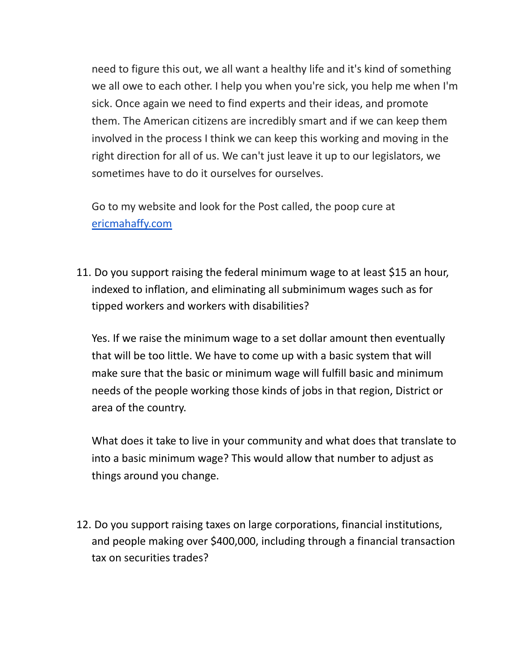need to figure this out, we all want a healthy life and it's kind of something we all owe to each other. I help you when you're sick, you help me when I'm sick. Once again we need to find experts and their ideas, and promote them. The American citizens are incredibly smart and if we can keep them involved in the process I think we can keep this working and moving in the right direction for all of us. We can't just leave it up to our legislators, we sometimes have to do it ourselves for ourselves.

Go to my website and look for the Post called, the poop cure at [ericmahaffy.com](http://ericmahaffy.com/)

11. Do you support raising the federal minimum wage to at least \$15 an hour, indexed to inflation, and eliminating all subminimum wages such as for tipped workers and workers with disabilities?

Yes. If we raise the minimum wage to a set dollar amount then eventually that will be too little. We have to come up with a basic system that will make sure that the basic or minimum wage will fulfill basic and minimum needs of the people working those kinds of jobs in that region, District or area of the country.

What does it take to live in your community and what does that translate to into a basic minimum wage? This would allow that number to adjust as things around you change.

12. Do you support raising taxes on large corporations, financial institutions, and people making over \$400,000, including through a financial transaction tax on securities trades?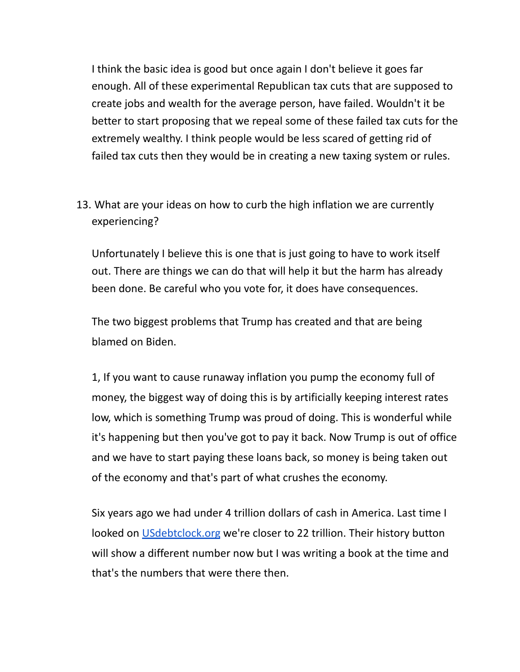I think the basic idea is good but once again I don't believe it goes far enough. All of these experimental Republican tax cuts that are supposed to create jobs and wealth for the average person, have failed. Wouldn't it be better to start proposing that we repeal some of these failed tax cuts for the extremely wealthy. I think people would be less scared of getting rid of failed tax cuts then they would be in creating a new taxing system or rules.

13. What are your ideas on how to curb the high inflation we are currently experiencing?

Unfortunately I believe this is one that is just going to have to work itself out. There are things we can do that will help it but the harm has already been done. Be careful who you vote for, it does have consequences.

The two biggest problems that Trump has created and that are being blamed on Biden.

1, If you want to cause runaway inflation you pump the economy full of money, the biggest way of doing this is by artificially keeping interest rates low, which is something Trump was proud of doing. This is wonderful while it's happening but then you've got to pay it back. Now Trump is out of office and we have to start paying these loans back, so money is being taken out of the economy and that's part of what crushes the economy.

Six years ago we had under 4 trillion dollars of cash in America. Last time I looked on [USdebtclock.org](http://usdebtclock.org/) we're closer to 22 trillion. Their history button will show a different number now but I was writing a book at the time and that's the numbers that were there then.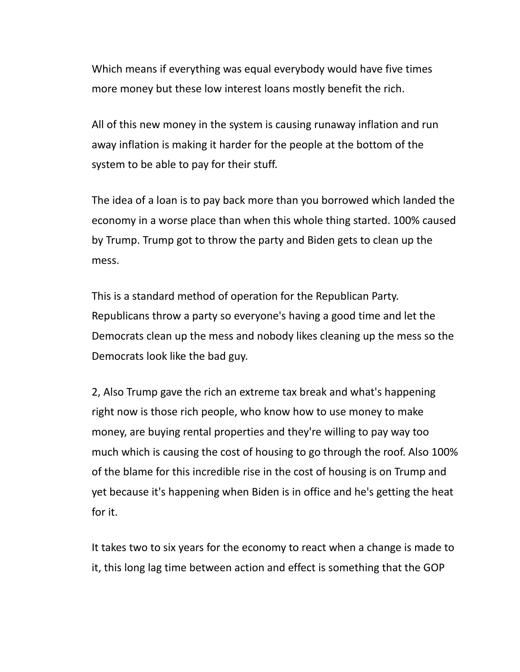Which means if everything was equal everybody would have five times more money but these low interest loans mostly benefit the rich.

All of this new money in the system is causing runaway inflation and run away inflation is making it harder for the people at the bottom of the system to be able to pay for their stuff.

The idea of a loan is to pay back more than you borrowed which landed the economy in a worse place than when this whole thing started. 100% caused by Trump. Trump got to throw the party and Biden gets to clean up the mess.

This is a standard method of operation for the Republican Party. Republicans throw a party so everyone's having a good time and let the Democrats clean up the mess and nobody likes cleaning up the mess so the Democrats look like the bad guy.

2, Also Trump gave the rich an extreme tax break and what's happening right now is those rich people, who know how to use money to make money, are buying rental properties and they're willing to pay way too much which is causing the cost of housing to go through the roof. Also 100% of the blame for this incredible rise in the cost of housing is on Trump and yet because it's happening when Biden is in office and he's getting the heat for it.

It takes two to six years for the economy to react when a change is made to it, this long lag time between action and effect is something that the GOP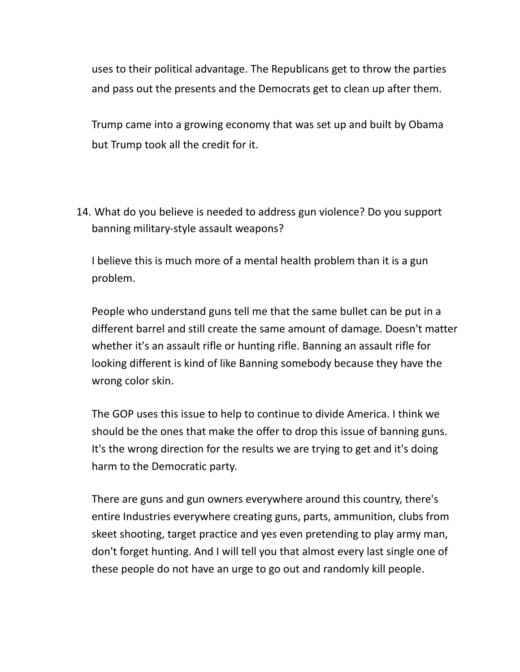uses to their political advantage. The Republicans get to throw the parties and pass out the presents and the Democrats get to clean up after them.

Trump came into a growing economy that was set up and built by Obama but Trump took all the credit for it.

14. What do you believe is needed to address gun violence? Do you support banning military-style assault weapons?

I believe this is much more of a mental health problem than it is a gun problem.

People who understand guns tell me that the same bullet can be put in a different barrel and still create the same amount of damage. Doesn't matter whether it's an assault rifle or hunting rifle. Banning an assault rifle for looking different is kind of like Banning somebody because they have the wrong color skin.

The GOP uses this issue to help to continue to divide America. I think we should be the ones that make the offer to drop this issue of banning guns. It's the wrong direction for the results we are trying to get and it's doing harm to the Democratic party.

There are guns and gun owners everywhere around this country, there's entire Industries everywhere creating guns, parts, ammunition, clubs from skeet shooting, target practice and yes even pretending to play army man, don't forget hunting. And I will tell you that almost every last single one of these people do not have an urge to go out and randomly kill people.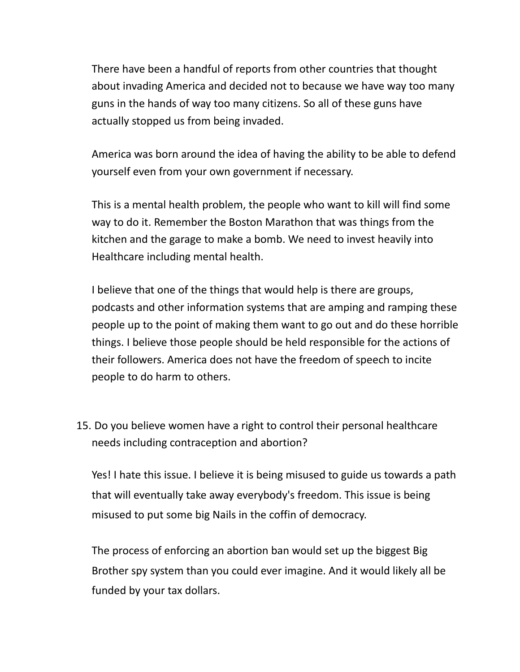There have been a handful of reports from other countries that thought about invading America and decided not to because we have way too many guns in the hands of way too many citizens. So all of these guns have actually stopped us from being invaded.

America was born around the idea of having the ability to be able to defend yourself even from your own government if necessary.

This is a mental health problem, the people who want to kill will find some way to do it. Remember the Boston Marathon that was things from the kitchen and the garage to make a bomb. We need to invest heavily into Healthcare including mental health.

I believe that one of the things that would help is there are groups, podcasts and other information systems that are amping and ramping these people up to the point of making them want to go out and do these horrible things. I believe those people should be held responsible for the actions of their followers. America does not have the freedom of speech to incite people to do harm to others.

15. Do you believe women have a right to control their personal healthcare needs including contraception and abortion?

Yes! I hate this issue. I believe it is being misused to guide us towards a path that will eventually take away everybody's freedom. This issue is being misused to put some big Nails in the coffin of democracy.

The process of enforcing an abortion ban would set up the biggest Big Brother spy system than you could ever imagine. And it would likely all be funded by your tax dollars.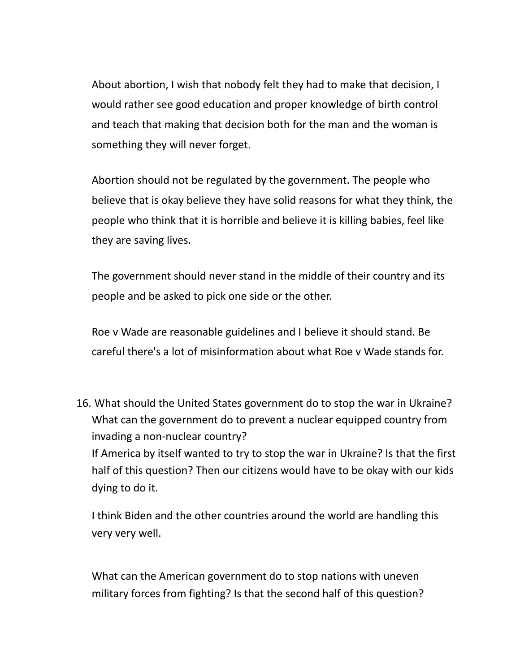About abortion, I wish that nobody felt they had to make that decision, I would rather see good education and proper knowledge of birth control and teach that making that decision both for the man and the woman is something they will never forget.

Abortion should not be regulated by the government. The people who believe that is okay believe they have solid reasons for what they think, the people who think that it is horrible and believe it is killing babies, feel like they are saving lives.

The government should never stand in the middle of their country and its people and be asked to pick one side or the other.

Roe v Wade are reasonable guidelines and I believe it should stand. Be careful there's a lot of misinformation about what Roe v Wade stands for.

16. What should the United States government do to stop the war in Ukraine? What can the government do to prevent a nuclear equipped country from invading a non-nuclear country? If America by itself wanted to try to stop the war in Ukraine? Is that the first half of this question? Then our citizens would have to be okay with our kids dying to do it.

I think Biden and the other countries around the world are handling this very very well.

What can the American government do to stop nations with uneven military forces from fighting? Is that the second half of this question?